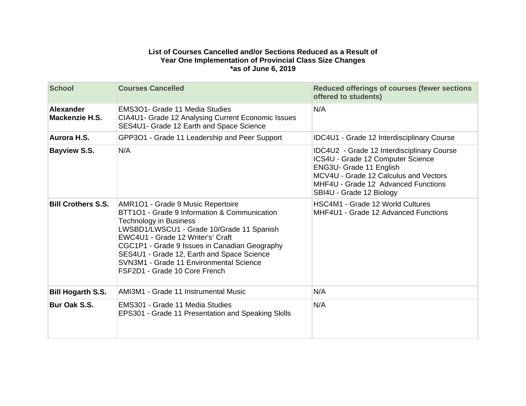## **List of Courses Cancelled and/or Sections Reduced as a Result of Year One Implementation of Provincial Class Size Changes \*as of June 6, 2019**

| <b>School</b>                      | <b>Courses Cancelled</b>                                                                                                                                                                                                                                                                                                                                                        | <b>Reduced offerings of courses (fewer sections</b><br>offered to students)                                                                                                                                            |
|------------------------------------|---------------------------------------------------------------------------------------------------------------------------------------------------------------------------------------------------------------------------------------------------------------------------------------------------------------------------------------------------------------------------------|------------------------------------------------------------------------------------------------------------------------------------------------------------------------------------------------------------------------|
| <b>Alexander</b><br>Mackenzie H.S. | EMS3O1- Grade 11 Media Studies<br>CIA4U1- Grade 12 Analysing Current Economic Issues<br>SES4U1- Grade 12 Earth and Space Science                                                                                                                                                                                                                                                | N/A                                                                                                                                                                                                                    |
| Aurora H.S.                        | GPP3O1 - Grade 11 Leadership and Peer Support                                                                                                                                                                                                                                                                                                                                   | <b>IDC4U1 - Grade 12 Interdisciplinary Course</b>                                                                                                                                                                      |
| <b>Bayview S.S.</b>                | N/A                                                                                                                                                                                                                                                                                                                                                                             | IDC4U2 - Grade 12 Interdisciplinary Course<br>ICS4U - Grade 12 Computer Science<br>ENG3U- Grade 11 English<br>MCV4U - Grade 12 Calculus and Vectors<br>MHF4U - Grade 12 Advanced Functions<br>SBI4U - Grade 12 Biology |
| <b>Bill Crothers S.S.</b>          | AMR1O1 - Grade 9 Music Repertoire<br>BTT101 - Grade 9 Information & Communication<br><b>Technology in Business</b><br>LWSBD1/LWSCU1 - Grade 10/Grade 11 Spanish<br>EWC4U1 - Grade 12 Writer's' Craft<br>CGC1P1 - Grade 9 Issues in Canadian Geography<br>SES4U1 - Grade 12, Earth and Space Science<br>SVN3M1 - Grade 11 Environmental Science<br>FSF2D1 - Grade 10 Core French | <b>HSC4M1 - Grade 12 World Cultures</b><br>MHF4U1 - Grade 12 Advanced Functions                                                                                                                                        |
| <b>Bill Hogarth S.S.</b>           | AMI3M1 - Grade 11 Instrumental Music                                                                                                                                                                                                                                                                                                                                            | N/A                                                                                                                                                                                                                    |
| Bur Oak S.S.                       | EMS301 - Grade 11 Media Studies<br>EPS301 - Grade 11 Presentation and Speaking Skills                                                                                                                                                                                                                                                                                           | N/A                                                                                                                                                                                                                    |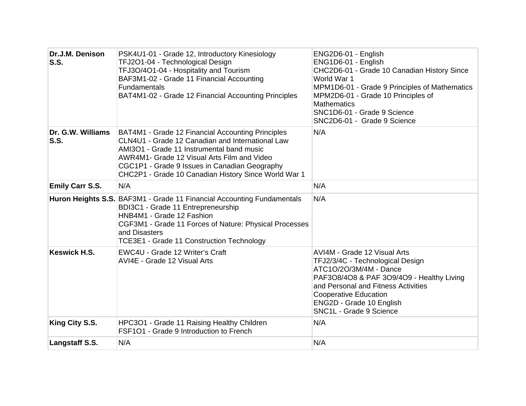| Dr.J.M. Denison<br><b>S.S.</b> | PSK4U1-01 - Grade 12, Introductory Kinesiology<br>TFJ2O1-04 - Technological Design<br>TFJ3O/4O1-04 - Hospitality and Tourism<br>BAF3M1-02 - Grade 11 Financial Accounting<br><b>Fundamentals</b><br>BAT4M1-02 - Grade 12 Financial Accounting Principles                                                   | ENG2D6-01 - English<br>ENG1D6-01 - English<br>CHC2D6-01 - Grade 10 Canadian History Since<br>World War 1<br>MPM1D6-01 - Grade 9 Principles of Mathematics<br>MPM2D6-01 - Grade 10 Principles of<br><b>Mathematics</b><br>SNC1D6-01 - Grade 9 Science<br>SNC2D6-01 - Grade 9 Science |
|--------------------------------|------------------------------------------------------------------------------------------------------------------------------------------------------------------------------------------------------------------------------------------------------------------------------------------------------------|-------------------------------------------------------------------------------------------------------------------------------------------------------------------------------------------------------------------------------------------------------------------------------------|
| Dr. G.W. Williams<br>S.S.      | BAT4M1 - Grade 12 Financial Accounting Principles<br>CLN4U1 - Grade 12 Canadian and International Law<br>AMI3O1 - Grade 11 Instrumental band music<br>AWR4M1- Grade 12 Visual Arts Film and Video<br>CGC1P1 - Grade 9 Issues in Canadian Geography<br>CHC2P1 - Grade 10 Canadian History Since World War 1 | N/A                                                                                                                                                                                                                                                                                 |
| <b>Emily Carr S.S.</b>         | N/A                                                                                                                                                                                                                                                                                                        | N/A                                                                                                                                                                                                                                                                                 |
|                                | Huron Heights S.S. BAF3M1 - Grade 11 Financial Accounting Fundamentals<br>BDI3C1 - Grade 11 Entrepreneurship<br>HNB4M1 - Grade 12 Fashion<br>CGF3M1 - Grade 11 Forces of Nature: Physical Processes<br>and Disasters<br>TCE3E1 - Grade 11 Construction Technology                                          | N/A                                                                                                                                                                                                                                                                                 |
| <b>Keswick H.S.</b>            | EWC4U - Grade 12 Writer's Craft<br>AVI4E - Grade 12 Visual Arts                                                                                                                                                                                                                                            | AVI4M - Grade 12 Visual Arts<br>TFJ2/3/4C - Technological Design<br>ATC1O/2O/3M/4M - Dance<br>PAF3O8/4O8 & PAF 3O9/4O9 - Healthy Living<br>and Personal and Fitness Activities<br><b>Cooperative Education</b><br>ENG2D - Grade 10 English<br>SNC1L - Grade 9 Science               |
| King City S.S.                 | HPC3O1 - Grade 11 Raising Healthy Children<br>FSF101 - Grade 9 Introduction to French                                                                                                                                                                                                                      | N/A                                                                                                                                                                                                                                                                                 |
| Langstaff S.S.                 | N/A                                                                                                                                                                                                                                                                                                        | N/A                                                                                                                                                                                                                                                                                 |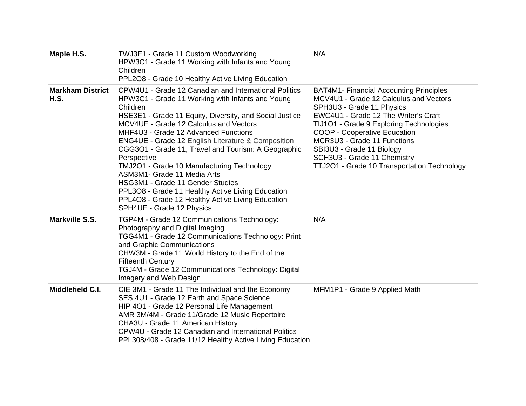| Maple H.S.                             | TWJ3E1 - Grade 11 Custom Woodworking<br>HPW3C1 - Grade 11 Working with Infants and Young<br>Children<br>PPL2O8 - Grade 10 Healthy Active Living Education                                                                                                                                                                                                                                                                                                                                                                                                                                                                                                         | N/A                                                                                                                                                                                                                                                                                                                                                                                       |
|----------------------------------------|-------------------------------------------------------------------------------------------------------------------------------------------------------------------------------------------------------------------------------------------------------------------------------------------------------------------------------------------------------------------------------------------------------------------------------------------------------------------------------------------------------------------------------------------------------------------------------------------------------------------------------------------------------------------|-------------------------------------------------------------------------------------------------------------------------------------------------------------------------------------------------------------------------------------------------------------------------------------------------------------------------------------------------------------------------------------------|
| <b>Markham District</b><br><b>H.S.</b> | CPW4U1 - Grade 12 Canadian and International Politics<br>HPW3C1 - Grade 11 Working with Infants and Young<br>Children<br>HSE3E1 - Grade 11 Equity, Diversity, and Social Justice<br>MCV4UE - Grade 12 Calculus and Vectors<br>MHF4U3 - Grade 12 Advanced Functions<br><b>ENG4UE - Grade 12 English Literature &amp; Composition</b><br>CGG3O1 - Grade 11, Travel and Tourism: A Geographic<br>Perspective<br>TMJ2O1 - Grade 10 Manufacturing Technology<br>ASM3M1- Grade 11 Media Arts<br>HSG3M1 - Grade 11 Gender Studies<br>PPL3O8 - Grade 11 Healthy Active Living Education<br>PPL4O8 - Grade 12 Healthy Active Living Education<br>SPH4UE - Grade 12 Physics | <b>BAT4M1- Financial Accounting Principles</b><br>MCV4U1 - Grade 12 Calculus and Vectors<br>SPH3U3 - Grade 11 Physics<br>EWC4U1 - Grade 12 The Writer's Craft<br>TIJ1O1 - Grade 9 Exploring Technologies<br><b>COOP - Cooperative Education</b><br>MCR3U3 - Grade 11 Functions<br>SBI3U3 - Grade 11 Biology<br>SCH3U3 - Grade 11 Chemistry<br>TTJ2O1 - Grade 10 Transportation Technology |
| Markville S.S.                         | TGP4M - Grade 12 Communications Technology:<br>Photography and Digital Imaging<br>TGG4M1 - Grade 12 Communications Technology: Print<br>and Graphic Communications<br>CHW3M - Grade 11 World History to the End of the<br><b>Fifteenth Century</b><br>TGJ4M - Grade 12 Communications Technology: Digital<br>Imagery and Web Design                                                                                                                                                                                                                                                                                                                               | N/A                                                                                                                                                                                                                                                                                                                                                                                       |
| Middlefield C.I.                       | CIE 3M1 - Grade 11 The Individual and the Economy<br>SES 4U1 - Grade 12 Earth and Space Science<br>HIP 401 - Grade 12 Personal Life Management<br>AMR 3M/4M - Grade 11/Grade 12 Music Repertoire<br>CHA3U - Grade 11 American History<br>CPW4U - Grade 12 Canadian and International Politics<br>PPL308/408 - Grade 11/12 Healthy Active Living Education                                                                                                                                                                                                                                                                                                         | MFM1P1 - Grade 9 Applied Math                                                                                                                                                                                                                                                                                                                                                             |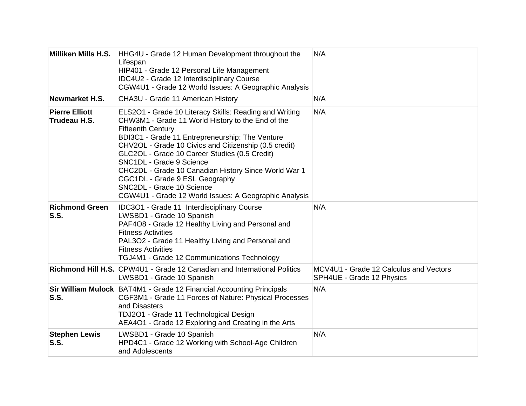| Milliken Mills H.S.                   | HHG4U - Grade 12 Human Development throughout the<br>Lifespan<br>HIP401 - Grade 12 Personal Life Management<br>IDC4U2 - Grade 12 Interdisciplinary Course<br>CGW4U1 - Grade 12 World Issues: A Geographic Analysis                                                                                                                                                                                                                                                                                               | N/A                                                                 |
|---------------------------------------|------------------------------------------------------------------------------------------------------------------------------------------------------------------------------------------------------------------------------------------------------------------------------------------------------------------------------------------------------------------------------------------------------------------------------------------------------------------------------------------------------------------|---------------------------------------------------------------------|
| Newmarket H.S.                        | CHA3U - Grade 11 American History                                                                                                                                                                                                                                                                                                                                                                                                                                                                                | N/A                                                                 |
| <b>Pierre Elliott</b><br>Trudeau H.S. | ELS2O1 - Grade 10 Literacy Skills: Reading and Writing<br>CHW3M1 - Grade 11 World History to the End of the<br><b>Fifteenth Century</b><br>BDI3C1 - Grade 11 Entrepreneurship: The Venture<br>CHV2OL - Grade 10 Civics and Citizenship (0.5 credit)<br>GLC2OL - Grade 10 Career Studies (0.5 Credit)<br>SNC1DL - Grade 9 Science<br>CHC2DL - Grade 10 Canadian History Since World War 1<br>CGC1DL - Grade 9 ESL Geography<br>SNC2DL - Grade 10 Science<br>CGW4U1 - Grade 12 World Issues: A Geographic Analysis | N/A                                                                 |
| <b>Richmond Green</b><br>S.S.         | IDC3O1 - Grade 11 Interdisciplinary Course<br>LWSBD1 - Grade 10 Spanish<br>PAF4O8 - Grade 12 Healthy Living and Personal and<br><b>Fitness Activities</b><br>PAL3O2 - Grade 11 Healthy Living and Personal and<br><b>Fitness Activities</b><br>TGJ4M1 - Grade 12 Communications Technology                                                                                                                                                                                                                       | N/A                                                                 |
|                                       | Richmond Hill H.S. CPW4U1 - Grade 12 Canadian and International Politics<br>LWSBD1 - Grade 10 Spanish                                                                                                                                                                                                                                                                                                                                                                                                            | MCV4U1 - Grade 12 Calculus and Vectors<br>SPH4UE - Grade 12 Physics |
| S.S.                                  | Sir William Mulock BAT4M1 - Grade 12 Financial Accounting Principals<br>CGF3M1 - Grade 11 Forces of Nature: Physical Processes<br>and Disasters<br>TDJ2O1 - Grade 11 Technological Design<br>AEA4O1 - Grade 12 Exploring and Creating in the Arts                                                                                                                                                                                                                                                                | N/A                                                                 |
| <b>Stephen Lewis</b><br><b>S.S.</b>   | LWSBD1 - Grade 10 Spanish<br>HPD4C1 - Grade 12 Working with School-Age Children<br>and Adolescents                                                                                                                                                                                                                                                                                                                                                                                                               | N/A                                                                 |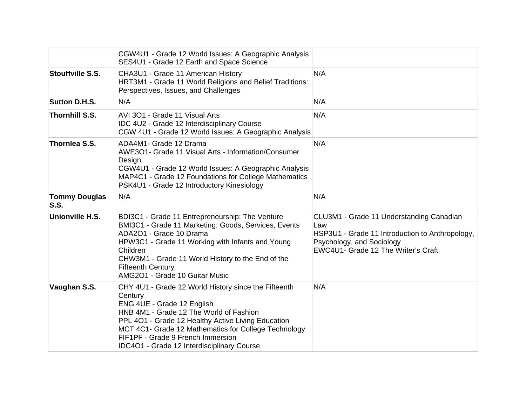|                                     | CGW4U1 - Grade 12 World Issues: A Geographic Analysis<br>SES4U1 - Grade 12 Earth and Space Science                                                                                                                                                                                                                                        |                                                                                                                                                                        |
|-------------------------------------|-------------------------------------------------------------------------------------------------------------------------------------------------------------------------------------------------------------------------------------------------------------------------------------------------------------------------------------------|------------------------------------------------------------------------------------------------------------------------------------------------------------------------|
| <b>Stouffville S.S.</b>             | CHA3U1 - Grade 11 American History<br>HRT3M1 - Grade 11 World Religions and Belief Traditions:<br>Perspectives, Issues, and Challenges                                                                                                                                                                                                    | N/A                                                                                                                                                                    |
| <b>Sutton D.H.S.</b>                | N/A                                                                                                                                                                                                                                                                                                                                       | N/A                                                                                                                                                                    |
| <b>Thornhill S.S.</b>               | AVI 301 - Grade 11 Visual Arts<br>IDC 4U2 - Grade 12 Interdisciplinary Course<br>CGW 4U1 - Grade 12 World Issues: A Geographic Analysis                                                                                                                                                                                                   | N/A                                                                                                                                                                    |
| Thornlea S.S.                       | ADA4M1- Grade 12 Drama<br>AWE3O1- Grade 11 Visual Arts - Information/Consumer<br>Design<br>CGW4U1 - Grade 12 World Issues: A Geographic Analysis<br>MAP4C1 - Grade 12 Foundations for College Mathematics<br>PSK4U1 - Grade 12 Introductory Kinesiology                                                                                   | N/A                                                                                                                                                                    |
| <b>Tommy Douglas</b><br><b>S.S.</b> | N/A                                                                                                                                                                                                                                                                                                                                       | N/A                                                                                                                                                                    |
| Unionville H.S.                     | BDI3C1 - Grade 11 Entrepreneurship: The Venture<br>BMI3C1 - Grade 11 Marketing: Goods, Services, Events<br>ADA2O1 - Grade 10 Drama<br>HPW3C1 - Grade 11 Working with Infants and Young<br>Children<br>CHW3M1 - Grade 11 World History to the End of the<br><b>Fifteenth Century</b><br>AMG2O1 - Grade 10 Guitar Music                     | CLU3M1 - Grade 11 Understanding Canadian<br>Law<br>HSP3U1 - Grade 11 Introduction to Anthropology,<br>Psychology, and Sociology<br>EWC4U1- Grade 12 The Writer's Craft |
| Vaughan S.S.                        | CHY 4U1 - Grade 12 World History since the Fifteenth<br>Century<br>ENG 4UE - Grade 12 English<br>HNB 4M1 - Grade 12 The World of Fashion<br>PPL 401 - Grade 12 Healthy Active Living Education<br>MCT 4C1- Grade 12 Mathematics for College Technology<br>FIF1PF - Grade 9 French Immersion<br>IDC4O1 - Grade 12 Interdisciplinary Course | N/A                                                                                                                                                                    |